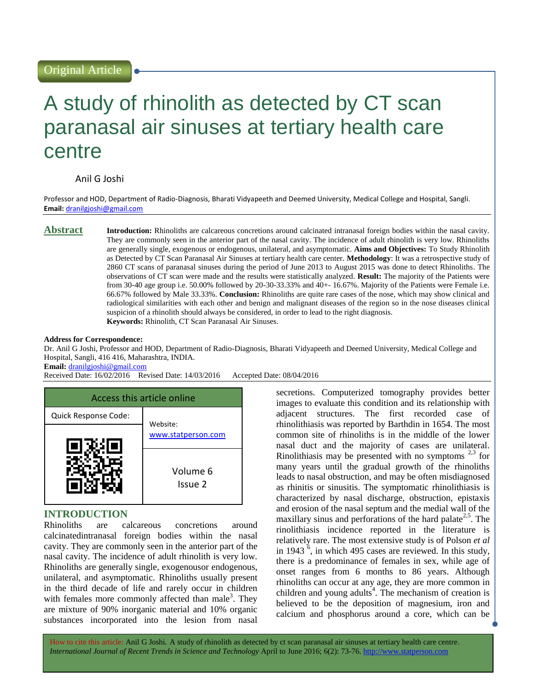# Original Article

# A study of rhinolith as detected by CT scan paranasal air sinuses at tertiary health care centre

# Anil G Joshi

Professor and HOD, Department of Radio-Diagnosis, Bharati Vidyapeeth and Deemed University, Medical College and Hospital, Sangli. **Email:** [dranilgjoshi@gmail.com](mailto:dranilgjoshi@gmail.com)

**Abstract Introduction:** Rhinoliths are calcareous concretions around calcinated intranasal foreign bodies within the nasal cavity. They are commonly seen in the anterior part of the nasal cavity. The incidence of adult rhinolith is very low. Rhinoliths are generally single, exogenous or endogenous, unilateral, and asymptomatic. **Aims and Objectives:** To Study Rhinolith as Detected by CT Scan Paranasal Air Sinuses at tertiary health care center. **Methodology**: It was a retrospective study of 2860 CT scans of paranasal sinuses during the period of June 2013 to August 2015 was done to detect Rhinoliths. The observations of CT scan were made and the results were statistically analyzed. **Result:** The majority of the Patients were from 30-40 age group i.e. 50.00% followed by 20-30-33.33% and 40+- 16.67%. Majority of the Patients were Female i.e. 66.67% followed by Male 33.33%. **Conclusion:** Rhinoliths are quite rare cases of the nose, which may show clinical and radiological similarities with each other and benign and malignant diseases of the region so in the nose diseases clinical suspicion of a rhinolith should always be considered, in order to lead to the right diagnosis. **Keywords:** Rhinolith, CT Scan Paranasal Air Sinuses.

#### **Address for Correspondence:**

Dr. Anil G Joshi, Professor and HOD, Department of Radio-Diagnosis, Bharati Vidyapeeth and Deemed University, Medical College and Hospital, Sangli, 416 416, Maharashtra, INDIA.

**Email:** [dranilgjoshi@gmail.com](mailto:dranilgjoshi@gmail.com)

Received Date: 16/02/2016 Revised Date: 14/03/2016 Accepted Date: 08/04/2016



# **INTRODUCTION**

Rhinoliths are calcareous concretions around calcinatedintranasal foreign bodies within the nasal cavity. They are commonly seen in the anterior part of the nasal cavity. The incidence of adult rhinolith is very low. Rhinoliths are generally single, exogenousor endogenous, unilateral, and asymptomatic. Rhinoliths usually present in the third decade of life and rarely occur in children with females more commonly affected than male<sup>3</sup>. They are mixture of 90% inorganic material and 10% organic substances incorporated into the lesion from nasal

secretions. Computerized tomography provides better images to evaluate this condition and its relationship with adjacent structures. The first recorded case of rhinolithiasis was reported by Barthdin in 1654. The most common site of rhinoliths is in the middle of the lower nasal duct and the majority of cases are unilateral. Rinolithiasis may be presented with no symptoms  $2.3$  for many years until the gradual growth of the rhinoliths leads to nasal obstruction, and may be often misdiagnosed as rhinitis or sinusitis. The symptomatic rhinolithiasis is characterized by nasal discharge, obstruction, epistaxis and erosion of the nasal septum and the medial wall of the maxillary sinus and perforations of the hard palate<sup>2,5</sup>. The rinolithiasis incidence reported in the literature is relatively rare. The most extensive study is of Polson *et al* in 1943  $<sup>6</sup>$ , in which 495 cases are reviewed. In this study,</sup> there is a predominance of females in sex, while age of onset ranges from 6 months to 86 years. Although rhinoliths can occur at any age, they are more common in children and young adults<sup>4</sup>. The mechanism of creation is believed to be the deposition of magnesium, iron and calcium and phosphorus around a core, which can be

How to cite this article: Anil G Joshi*.* A study of rhinolith as detected by ct scan paranasal air sinuses at tertiary health care centre. *International Journal of Recent Trends in Science and Technology* April to June 2016; 6(2): 73-76. http://www.statperson.com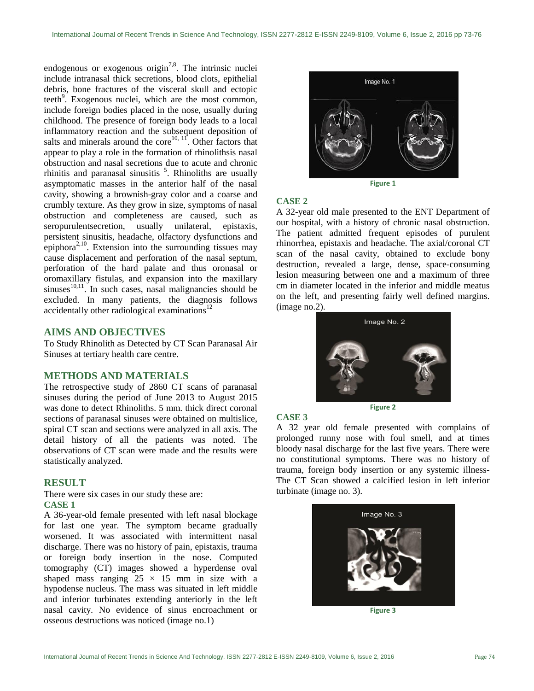endogenous or exogenous origin<sup>7,8</sup>. The intrinsic nuclei include intranasal thick secretions, blood clots, epithelial debris, bone fractures of the visceral skull and ectopic teeth $9$ . Exogenous nuclei, which are the most common, include foreign bodies placed in the nose, usually during childhood. The presence of foreign body leads to a local inflammatory reaction and the subsequent deposition of salts and minerals around the core<sup>10, 11</sup>. Other factors that appear to play a role in the formation of rhinolithsis nasal obstruction and nasal secretions due to acute and chronic rhinitis and paranasal sinusitis  $5$ . Rhinoliths are usually asymptomatic masses in the anterior half of the nasal cavity, showing a brownish-gray color and a coarse and crumbly texture. As they grow in size, symptoms of nasal obstruction and completeness are caused, such as seropurulentsecretion, usually unilateral, epistaxis, persistent sinusitis, headache, olfactory dysfunctions and epiphora<sup>2,10</sup>. Extension into the surrounding tissues may cause displacement and perforation of the nasal septum, perforation of the hard palate and thus oronasal or oromaxillary fistulas, and expansion into the maxillary sinuses $^{10,11}$ . In such cases, nasal malignancies should be excluded. In many patients, the diagnosis follows accidentally other radiological examinations $^{12}$ 

## **AIMS AND OBJECTIVES**

To Study Rhinolith as Detected by CT Scan Paranasal Air Sinuses at tertiary health care centre.

# **METHODS AND MATERIALS**

The retrospective study of 2860 CT scans of paranasal sinuses during the period of June 2013 to August 2015 was done to detect Rhinoliths. 5 mm. thick direct coronal sections of paranasal sinuses were obtained on multislice, spiral CT scan and sections were analyzed in all axis. The detail history of all the patients was noted. The observations of CT scan were made and the results were statistically analyzed.

#### **RESULT**

There were six cases in our study these are: **CASE 1**

A 36-year-old female presented with left nasal blockage for last one year. The symptom became gradually worsened. It was associated with intermittent nasal discharge. There was no history of pain, epistaxis, trauma or foreign body insertion in the nose. Computed tomography (CT) images showed a hyperdense oval shaped mass ranging  $25 \times 15$  mm in size with a hypodense nucleus. The mass was situated in left middle and inferior turbinates extending anteriorly in the left nasal cavity. No evidence of sinus encroachment or osseous destructions was noticed (image no.1)



#### **CASE 2**

A 32-year old male presented to the ENT Department of our hospital, with a history of chronic nasal obstruction. The patient admitted frequent episodes of purulent rhinorrhea, epistaxis and headache. The axial/coronal CT scan of the nasal cavity, obtained to exclude bony destruction, revealed a large, dense, space-consuming lesion measuring between one and a maximum of three cm in diameter located in the inferior and middle meatus on the left, and presenting fairly well defined margins. (image no.2).



#### **CASE 3**

A 32 year old female presented with complains of prolonged runny nose with foul smell, and at times bloody nasal discharge for the last five years. There were no constitutional symptoms. There was no history of trauma, foreign body insertion or any systemic illness-The CT Scan showed a calcified lesion in left inferior turbinate (image no. 3).



**Figure 3**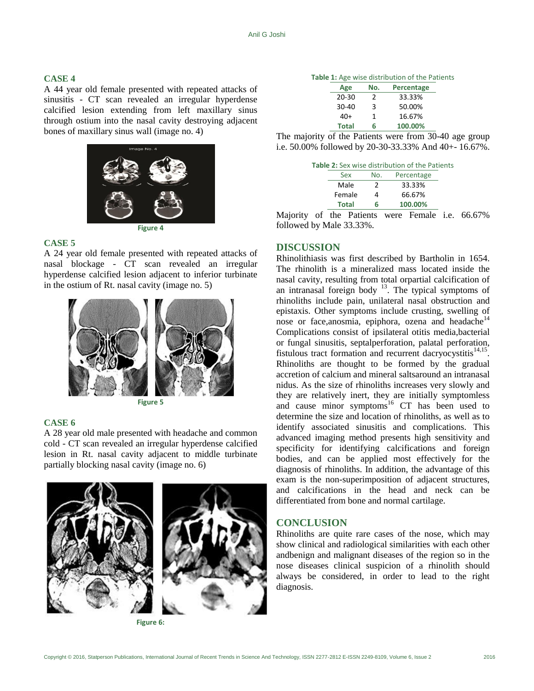#### **CASE 4**

A 44 year old female presented with repeated attacks of sinusitis - CT scan revealed an irregular hyperdense calcified lesion extending from left maxillary sinus through ostium into the nasal cavity destroying adjacent bones of maxillary sinus wall (image no. 4)



#### **CASE 5**

A 24 year old female presented with repeated attacks of nasal blockage - CT scan revealed an irregular hyperdense calcified lesion adjacent to inferior turbinate in the ostium of Rt. nasal cavity (image no. 5)





### **CASE 6**

A 28 year old male presented with headache and common cold - CT scan revealed an irregular hyperdense calcified lesion in Rt. nasal cavity adjacent to middle turbinate partially blocking nasal cavity (image no. 6)



**Figure 6:**

#### **Table 1:** Age wise distribution of the Patients

| Age          | No. | Percentage |
|--------------|-----|------------|
| $20 - 30$    | 2   | 33.33%     |
| $30 - 40$    | 3   | 50.00%     |
| $40+$        | 1   | 16.67%     |
| <b>Total</b> | 6   | 100.00%    |
|              |     |            |

The majority of the Patients were from 30-40 age group i.e. 50.00% followed by 20-30-33.33% And 40+- 16.67%.

|              |     | Table 2: Sex wise distribution of the Patients |  |
|--------------|-----|------------------------------------------------|--|
| Sex          | No. | Percentage                                     |  |
| Male         | 2   | 33.33%                                         |  |
| Female       | 4   | 66.67%                                         |  |
| <b>Total</b> | 6   | 100.00%                                        |  |

Majority of the Patients were Female i.e. 66.67% followed by Male 33.33%.

# **DISCUSSION**

Rhinolithiasis was first described by Bartholin in 1654. The rhinolith is a mineralized mass located inside the nasal cavity, resulting from total orpartial calcification of an intranasal foreign body  $13$ . The typical symptoms of rhinoliths include pain, unilateral nasal obstruction and epistaxis. Other symptoms include crusting, swelling of nose or face,anosmia, epiphora, ozena and headache<sup>14</sup> Complications consist of ipsilateral otitis media,bacterial or fungal sinusitis, septalperforation, palatal perforation, fistulous tract formation and recurrent dacryocystitis $14,15$ . Rhinoliths are thought to be formed by the gradual accretion of calcium and mineral saltsaround an intranasal nidus. As the size of rhinoliths increases very slowly and they are relatively inert, they are initially symptomless and cause minor symptoms<sup>16</sup> CT has been used to determine the size and location of rhinoliths, as well as to identify associated sinusitis and complications. This advanced imaging method presents high sensitivity and specificity for identifying calcifications and foreign bodies, and can be applied most effectively for the diagnosis of rhinoliths. In addition, the advantage of this exam is the non-superimposition of adjacent structures, and calcifications in the head and neck can be differentiated from bone and normal cartilage.

# **CONCLUSION**

Rhinoliths are quite rare cases of the nose, which may show clinical and radiological similarities with each other andbenign and malignant diseases of the region so in the nose diseases clinical suspicion of a rhinolith should always be considered, in order to lead to the right diagnosis.